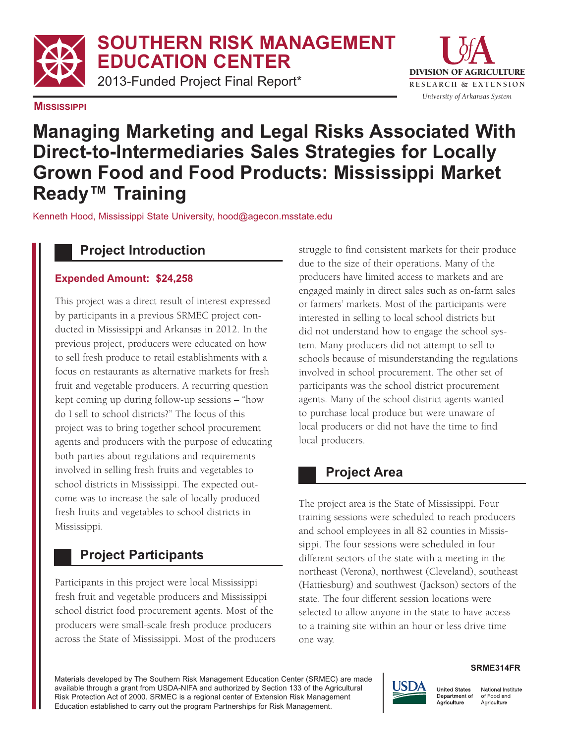## **SOUTHERN RISK MANAGEMENT EDUCATION CENTER**

2013-Funded Project Final Report\*





# **Managing Marketing and Legal Risks Associated With Direct-to-Intermediaries Sales Strategies for Locally Grown Food and Food Products: Mississippi Market Ready™ Training**

Kenneth Hood, Mississippi State University, hood@agecon.msstate.edu

# **Project Introduction**

#### **Expended Amount: \$24,258**

This project was a direct result of interest expressed by participants in a previous SRMEC project conducted in Mississippi and Arkansas in 2012. In the previous project, producers were educated on how to sell fresh produce to retail establishments with a focus on restaurants as alternative markets for fresh fruit and vegetable producers. A recurring question kept coming up during follow-up sessions – "how do I sell to school districts?" The focus of this project was to bring together school procurement agents and producers with the purpose of educating both parties about regulations and requirements involved in selling fresh fruits and vegetables to school districts in Mississippi. The expected outcome was to increase the sale of locally produced fresh fruits and vegetables to school districts in Mississippi.

### **Project Participants**

Participants in this project were local Mississippi fresh fruit and vegetable producers and Mississippi school district food procurement agents. Most of the producers were small-scale fresh produce producers across the State of Mississippi. Most of the producers struggle to find consistent markets for their produce due to the size of their operations. Many of the producers have limited access to markets and are engaged mainly in direct sales such as on-farm sales or farmers' markets. Most of the participants were interested in selling to local school districts but did not understand how to engage the school system. Many producers did not attempt to sell to schools because of misunderstanding the regulations involved in school procurement. The other set of participants was the school district procurement agents. Many of the school district agents wanted to purchase local produce but were unaware of local producers or did not have the time to find local producers.

### **Project Area**

The project area is the State of Mississippi. Four training sessions were scheduled to reach producers and school employees in all 82 counties in Mississippi. The four sessions were scheduled in four different sectors of the state with a meeting in the northeast (Verona), northwest (Cleveland), southeast (Hattiesburg) and southwest (Jackson) sectors of the state. The four different session locations were selected to allow anyone in the state to have access to a training site within an hour or less drive time one way.

Materials developed by The Southern Risk Management Education Center (SRMEC) are made available through a grant from USDA-NIFA and authorized by Section 133 of the Agricultural Risk Protection Act of 2000. SRMEC is a regional center of Extension Risk Management Education established to carry out the program Partnerships for Risk Management.



#### **SRME314FR**

**United States** National Institute Department of of Food and Agriculture